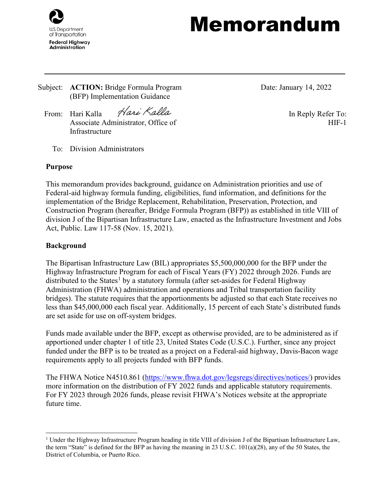

# Memorandum

Subject: **ACTION:** Bridge Formula Program (BFP) Implementation Guidance

Date: January 14, 2022

From: Hari Kalla *Haxi Kalla* In Reply Refer To: Associate Administrator, Office of Infrastructure

To: Division Administrators

# **Purpose**

This memorandum provides background, guidance on Administration priorities and use of Federal-aid highway formula funding, eligibilities, fund information, and definitions for the implementation of the Bridge Replacement, Rehabilitation, Preservation, Protection, and Construction Program (hereafter, Bridge Formula Program (BFP)) as established in title VIII of division J of the Bipartisan Infrastructure Law, enacted as the Infrastructure Investment and Jobs Act, Public. Law 117-58 (Nov. 15, 2021).

# **Background**

The Bipartisan Infrastructure Law (BIL) appropriates \$5,500,000,000 for the BFP under the Highway Infrastructure Program for each of Fiscal Years (FY) 2022 through 2026. Funds are distributed to the States<sup>[1](#page-0-0)</sup> by a statutory formula (after set-asides for Federal Highway Administration (FHWA) administration and operations and Tribal transportation facility bridges). The statute requires that the apportionments be adjusted so that each State receives no less than \$45,000,000 each fiscal year. Additionally, 15 percent of each State's distributed funds are set aside for use on off-system bridges.

Funds made available under the BFP, except as otherwise provided, are to be administered as if apportioned under chapter 1 of title 23, United States Code (U.S.C.). Further, since any project funded under the BFP is to be treated as a project on a Federal-aid highway, Davis-Bacon wage requirements apply to all projects funded with BFP funds.

The FHWA Notice N4510.861 [\(https://www.fhwa.dot.gov/legsregs/directives/notices/\)](https://www.fhwa.dot.gov/legsregs/directives/notices/) provides more information on the distribution of FY 2022 funds and applicable statutory requirements. For FY 2023 through 2026 funds, please revisit FHWA's Notices website at the appropriate future time.

HIF-1

<span id="page-0-0"></span><sup>&</sup>lt;sup>1</sup> Under the Highway Infrastructure Program heading in title VIII of division J of the Bipartisan Infrastructure Law, the term "State" is defined for the BFP as having the meaning in 23 U.S.C. 101(a)(28), any of the 50 States, the District of Columbia, or Puerto Rico.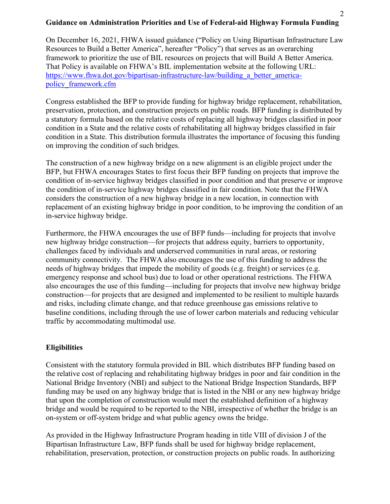# **Guidance on Administration Priorities and Use of Federal-aid Highway Formula Funding**

On December 16, 2021, FHWA issued guidance ("Policy on Using Bipartisan Infrastructure Law Resources to Build a Better America", hereafter "Policy") that serves as an overarching framework to prioritize the use of BIL resources on projects that will Build A Better America. That Policy is available on FHWA's BIL implementation website at the following URL: https://www.fhwa.dot.gov/bipartisan-infrastructure-law/building a better america[policy\\_framework.cfm](https://www.fhwa.dot.gov/bipartisan-infrastructure-law/building_a_better_america-policy_framework.cfm)

Congress established the BFP to provide funding for highway bridge replacement, rehabilitation, preservation, protection, and construction projects on public roads. BFP funding is distributed by a statutory formula based on the relative costs of replacing all highway bridges classified in poor condition in a State and the relative costs of rehabilitating all highway bridges classified in fair condition in a State. This distribution formula illustrates the importance of focusing this funding on improving the condition of such bridges.

The construction of a new highway bridge on a new alignment is an eligible project under the BFP, but FHWA encourages States to first focus their BFP funding on projects that improve the condition of in-service highway bridges classified in poor condition and that preserve or improve the condition of in-service highway bridges classified in fair condition. Note that the FHWA considers the construction of a new highway bridge in a new location, in connection with replacement of an existing highway bridge in poor condition, to be improving the condition of an in-service highway bridge.

Furthermore, the FHWA encourages the use of BFP funds—including for projects that involve new highway bridge construction—for projects that address equity, barriers to opportunity, challenges faced by individuals and underserved communities in rural areas, or restoring community connectivity. The FHWA also encourages the use of this funding to address the needs of highway bridges that impede the mobility of goods (e.g. freight) or services (e.g. emergency response and school bus) due to load or other operational restrictions. The FHWA also encourages the use of this funding—including for projects that involve new highway bridge construction—for projects that are designed and implemented to be resilient to multiple hazards and risks, including climate change, and that reduce greenhouse gas emissions relative to baseline conditions, including through the use of lower carbon materials and reducing vehicular traffic by accommodating multimodal use.

#### **Eligibilities**

Consistent with the statutory formula provided in BIL which distributes BFP funding based on the relative cost of replacing and rehabilitating highway bridges in poor and fair condition in the National Bridge Inventory (NBI) and subject to the National Bridge Inspection Standards, BFP funding may be used on any highway bridge that is listed in the NBI or any new highway bridge that upon the completion of construction would meet the established definition of a highway bridge and would be required to be reported to the NBI, irrespective of whether the bridge is an on-system or off-system bridge and what public agency owns the bridge.

As provided in the Highway Infrastructure Program heading in title VIII of division J of the Bipartisan Infrastructure Law, BFP funds shall be used for highway bridge replacement, rehabilitation, preservation, protection, or construction projects on public roads. In authorizing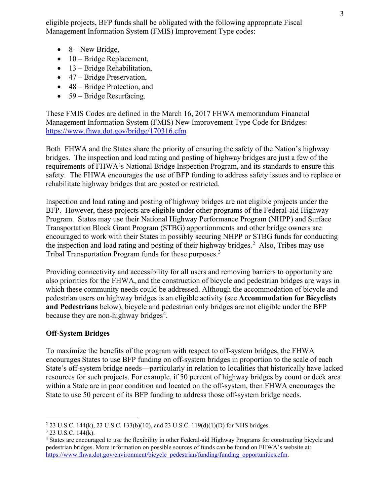eligible projects, BFP funds shall be obligated with the following appropriate Fiscal Management Information System (FMIS) Improvement Type codes:

- $\bullet$  8 New Bridge,
- 10 Bridge Replacement,
- 13 Bridge Rehabilitation,
- 47 Bridge Preservation,
- 48 Bridge Protection, and
- 59 Bridge Resurfacing.

These FMIS Codes are defined in the March 16, 2017 FHWA memorandum Financial Management Information System (FMIS) New Improvement Type Code for Bridges: <https://www.fhwa.dot.gov/bridge/170316.cfm>

Both FHWA and the States share the priority of ensuring the safety of the Nation's highway bridges. The inspection and load rating and posting of highway bridges are just a few of the requirements of FHWA's National Bridge Inspection Program, and its standards to ensure this safety. The FHWA encourages the use of BFP funding to address safety issues and to replace or rehabilitate highway bridges that are posted or restricted.

Inspection and load rating and posting of highway bridges are not eligible projects under the BFP. However, these projects are eligible under other programs of the Federal-aid Highway Program. States may use their National Highway Performance Program (NHPP) and Surface Transportation Block Grant Program (STBG) apportionments and other bridge owners are encouraged to work with their States in possibly securing NHPP or STBG funds for conducting the inspection and load rating and posting of their highway bridges.<sup>[2](#page-2-0)</sup> Also, Tribes may use Tribal Transportation Program funds for these purposes.<sup>[3](#page-2-1)</sup>

Providing connectivity and accessibility for all users and removing barriers to opportunity are also priorities for the FHWA, and the construction of bicycle and pedestrian bridges are ways in which these community needs could be addressed. Although the accommodation of bicycle and pedestrian users on highway bridges is an eligible activity (see **Accommodation for Bicyclists and Pedestrians** below), bicycle and pedestrian only bridges are not eligible under the BFP because they are non-highway bridges<sup>[4](#page-2-2)</sup>.

# **Off-System Bridges**

To maximize the benefits of the program with respect to off-system bridges, the FHWA encourages States to use BFP funding on off-system bridges in proportion to the scale of each State's off-system bridge needs—particularly in relation to localities that historically have lacked resources for such projects. For example, if 50 percent of highway bridges by count or deck area within a State are in poor condition and located on the off-system, then FHWA encourages the State to use 50 percent of its BFP funding to address those off-system bridge needs.

<span id="page-2-0"></span><sup>&</sup>lt;sup>2</sup> 23 U.S.C. 144(k), 23 U.S.C. 133(b)(10), and 23 U.S.C. 119(d)(1)(D) for NHS bridges.

<span id="page-2-1"></span> $3$  23 U.S.C. 144(k).

<span id="page-2-2"></span><sup>4</sup> States are encouraged to use the flexibility in other Federal-aid Highway Programs for constructing bicycle and pedestrian bridges. More information on possible sources of funds can be found on FHWA's website at: https://www.fhwa.dot.gov/environment/bicycle\_pedestrian/funding/funding\_opportunities.cfm.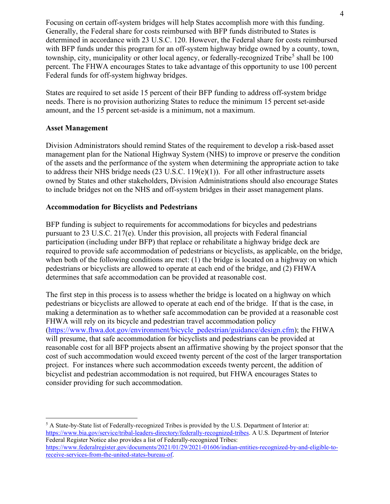Focusing on certain off-system bridges will help States accomplish more with this funding. Generally, the Federal share for costs reimbursed with BFP funds distributed to States is determined in accordance with 23 U.S.C. 120. However, the Federal share for costs reimbursed with BFP funds under this program for an off-system highway bridge owned by a county, town, township, city, municipality or other local agency, or federally-recognized Tribe<sup>[5](#page-3-0)</sup> shall be  $100$ percent. The FHWA encourages States to take advantage of this opportunity to use 100 percent Federal funds for off-system highway bridges.

States are required to set aside 15 percent of their BFP funding to address off-system bridge needs. There is no provision authorizing States to reduce the minimum 15 percent set-aside amount, and the 15 percent set-aside is a minimum, not a maximum.

#### **Asset Management**

Division Administrators should remind States of the requirement to develop a risk-based asset management plan for the National Highway System (NHS) to improve or preserve the condition of the assets and the performance of the system when determining the appropriate action to take to address their NHS bridge needs (23 U.S.C. 119(e)(1)). For all other infrastructure assets owned by States and other stakeholders, Division Administrations should also encourage States to include bridges not on the NHS and off-system bridges in their asset management plans.

#### **Accommodation for Bicyclists and Pedestrians**

BFP funding is subject to requirements for accommodations for bicycles and pedestrians pursuant to 23 U.S.C. 217(e). Under this provision, all projects with Federal financial participation (including under BFP) that replace or rehabilitate a highway bridge deck are required to provide safe accommodation of pedestrians or bicyclists, as applicable, on the bridge, when both of the following conditions are met: (1) the bridge is located on a highway on which pedestrians or bicyclists are allowed to operate at each end of the bridge, and (2) FHWA determines that safe accommodation can be provided at reasonable cost.

The first step in this process is to assess whether the bridge is located on a highway on which pedestrians or bicyclists are allowed to operate at each end of the bridge. If that is the case, in making a determination as to whether safe accommodation can be provided at a reasonable cost FHWA will rely on its bicycle and pedestrian travel accommodation policy [\(https://www.fhwa.dot.gov/environment/bicycle\\_pedestrian/guidance/design.cfm\)](https://www.fhwa.dot.gov/environment/bicycle_pedestrian/guidance/design.cfm); the FHWA will presume, that safe accommodation for bicyclists and pedestrians can be provided at reasonable cost for all BFP projects absent an affirmative showing by the project sponsor that the cost of such accommodation would exceed twenty percent of the cost of the larger transportation project. For instances where such accommodation exceeds twenty percent, the addition of bicyclist and pedestrian accommodation is not required, but FHWA encourages States to consider providing for such accommodation.

<span id="page-3-0"></span><sup>5</sup> A State-by-State list of Federally-recognized Tribes is provided by the U.S. Department of Interior at: [https://www.bia.gov/service/tribal-leaders-directory/federally-recognized-tribes.](https://www.bia.gov/service/tribal-leaders-directory/federally-recognized-tribes) A U.S. Department of Interior Federal Register Notice also provides a list of Federally-recognized Tribes: [https://www.federalregister.gov/documents/2021/01/29/2021-01606/indian-entities-recognized-by-and-eligible-to](https://www.federalregister.gov/documents/2021/01/29/2021-01606/indian-entities-recognized-by-and-eligible-to-receive-services-from-the-united-states-bureau-of)[receive-services-from-the-united-states-bureau-of.](https://www.federalregister.gov/documents/2021/01/29/2021-01606/indian-entities-recognized-by-and-eligible-to-receive-services-from-the-united-states-bureau-of)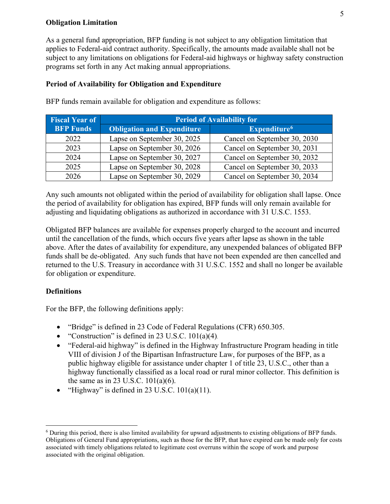#### **Obligation Limitation**

As a general fund appropriation, BFP funding is not subject to any obligation limitation that applies to Federal-aid contract authority. Specifically, the amounts made available shall not be subject to any limitations on obligations for Federal-aid highways or highway safety construction programs set forth in any Act making annual appropriations.

# **Period of Availability for Obligation and Expenditure**

| <b>Fiscal Year of</b> | <b>Period of Availability for</b> |                              |
|-----------------------|-----------------------------------|------------------------------|
| <b>BFP Funds</b>      | <b>Obligation and Expenditure</b> | Expenditure <sup>6</sup>     |
| 2022                  | Lapse on September 30, 2025       | Cancel on September 30, 2030 |
| 2023                  | Lapse on September 30, 2026       | Cancel on September 30, 2031 |
| 2024                  | Lapse on September 30, 2027       | Cancel on September 30, 2032 |
| 2025                  | Lapse on September 30, 2028       | Cancel on September 30, 2033 |
| 2026                  | Lapse on September 30, 2029       | Cancel on September 30, 2034 |

BFP funds remain available for obligation and expenditure as follows:

Any such amounts not obligated within the period of availability for obligation shall lapse. Once the period of availability for obligation has expired, BFP funds will only remain available for adjusting and liquidating obligations as authorized in accordance with 31 U.S.C. 1553.

Obligated BFP balances are available for expenses properly charged to the account and incurred until the cancellation of the funds, which occurs five years after lapse as shown in the table above. After the dates of availability for expenditure, any unexpended balances of obligated BFP funds shall be de-obligated. Any such funds that have not been expended are then cancelled and returned to the U.S. Treasury in accordance with 31 U.S.C. 1552 and shall no longer be available for obligation or expenditure.

# **Definitions**

For the BFP, the following definitions apply:

- "Bridge" is defined in 23 Code of Federal Regulations (CFR) 650.305.
- "Construction" is defined in 23 U.S.C. 101(a)(4).
- "Federal-aid highway" is defined in the Highway Infrastructure Program heading in title VIII of division J of the Bipartisan Infrastructure Law, for purposes of the BFP, as a public highway eligible for assistance under chapter 1 of title 23, U.S.C., other than a highway functionally classified as a local road or rural minor collector. This definition is the same as in 23 U.S.C. 101(a)(6).
- "Highway" is defined in 23 U.S.C.  $101(a)(11)$ .

<span id="page-4-0"></span><sup>6</sup> During this period, there is also limited availability for upward adjustments to existing obligations of BFP funds. Obligations of General Fund appropriations, such as those for the BFP, that have expired can be made only for costs associated with timely obligations related to legitimate cost overruns within the scope of work and purpose associated with the original obligation.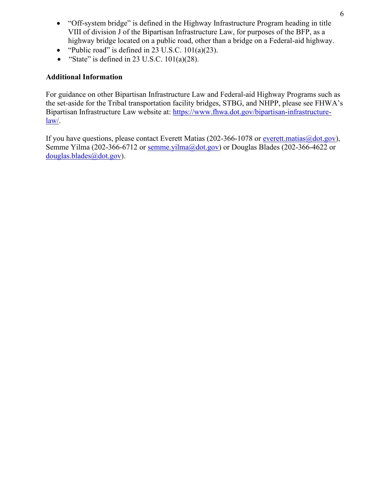- "Off-system bridge" is defined in the Highway Infrastructure Program heading in title VIII of division J of the Bipartisan Infrastructure Law, for purposes of the BFP, as a highway bridge located on a public road, other than a bridge on a Federal-aid highway.
- "Public road" is defined in 23 U.S.C.  $101(a)(23)$ .
- "State" is defined in 23 U.S.C.  $101(a)(28)$ .

# **Additional Information**

For guidance on other Bipartisan Infrastructure Law and Federal-aid Highway Programs such as the set-aside for the Tribal transportation facility bridges, STBG, and NHPP, please see FHWA's Bipartisan Infrastructure Law website at: [https://www.fhwa.dot.gov/bipartisan-infrastructure](https://www.fhwa.dot.gov/bipartisan-infrastructure-law/)[law/.](https://www.fhwa.dot.gov/bipartisan-infrastructure-law/)

If you have questions, please contact Everett Matias (202-366-1078 or everett.matias  $\omega$  dot.gov), Semme Yilma (202-366-6712 or [semme.yilma@dot.gov\)](mailto:semme.yilma@dot.gov) or Douglas Blades (202-366-4622 or [douglas.blades@dot.gov\)](mailto:douglas.blades@dot.gov).